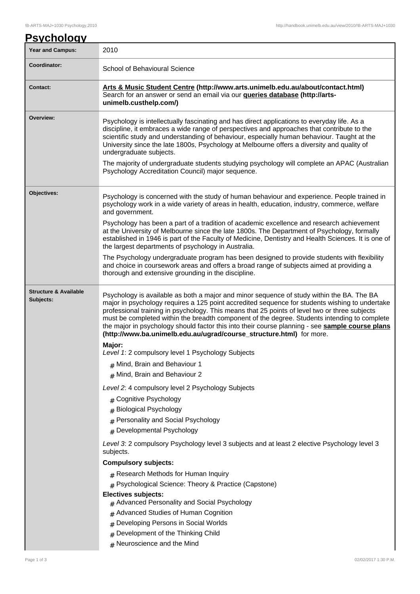| <u>Psychology</u><br><b>Year and Campus:</b>  | 2010                                                                                                                                                                                                                                                                                                                                                                                                                                                                                                                                                                    |  |  |
|-----------------------------------------------|-------------------------------------------------------------------------------------------------------------------------------------------------------------------------------------------------------------------------------------------------------------------------------------------------------------------------------------------------------------------------------------------------------------------------------------------------------------------------------------------------------------------------------------------------------------------------|--|--|
| Coordinator:                                  |                                                                                                                                                                                                                                                                                                                                                                                                                                                                                                                                                                         |  |  |
|                                               | School of Behavioural Science                                                                                                                                                                                                                                                                                                                                                                                                                                                                                                                                           |  |  |
| <b>Contact:</b>                               | Arts & Music Student Centre (http://www.arts.unimelb.edu.au/about/contact.html)<br>Search for an answer or send an email via our <b>queries database (http://arts-</b><br>unimelb.custhelp.com/)                                                                                                                                                                                                                                                                                                                                                                        |  |  |
| Overview:                                     | Psychology is intellectually fascinating and has direct applications to everyday life. As a<br>discipline, it embraces a wide range of perspectives and approaches that contribute to the<br>scientific study and understanding of behaviour, especially human behaviour. Taught at the<br>University since the late 1800s, Psychology at Melbourne offers a diversity and quality of<br>undergraduate subjects.<br>The majority of undergraduate students studying psychology will complete an APAC (Australian<br>Psychology Accreditation Council) major sequence.   |  |  |
| Objectives:                                   | Psychology is concerned with the study of human behaviour and experience. People trained in<br>psychology work in a wide variety of areas in health, education, industry, commerce, welfare<br>and government.                                                                                                                                                                                                                                                                                                                                                          |  |  |
|                                               | Psychology has been a part of a tradition of academic excellence and research achievement<br>at the University of Melbourne since the late 1800s. The Department of Psychology, formally<br>established in 1946 is part of the Faculty of Medicine, Dentistry and Health Sciences. It is one of<br>the largest departments of psychology in Australia.                                                                                                                                                                                                                  |  |  |
|                                               | The Psychology undergraduate program has been designed to provide students with flexibility<br>and choice in coursework areas and offers a broad range of subjects aimed at providing a<br>thorough and extensive grounding in the discipline.                                                                                                                                                                                                                                                                                                                          |  |  |
| <b>Structure &amp; Available</b><br>Subjects: | Psychology is available as both a major and minor sequence of study within the BA. The BA<br>major in psychology requires a 125 point accredited sequence for students wishing to undertake<br>professional training in psychology. This means that 25 points of level two or three subjects<br>must be completed within the breadth component of the degree. Students intending to complete<br>the major in psychology should factor this into their course planning - see sample course plans<br>(http://www.ba.unimelb.edu.au/ugrad/course_structure.html) for more. |  |  |
|                                               | Major:<br>Level 1: 2 compulsory level 1 Psychology Subjects                                                                                                                                                                                                                                                                                                                                                                                                                                                                                                             |  |  |
|                                               | $#$ Mind, Brain and Behaviour 1                                                                                                                                                                                                                                                                                                                                                                                                                                                                                                                                         |  |  |
|                                               | # Mind, Brain and Behaviour 2                                                                                                                                                                                                                                                                                                                                                                                                                                                                                                                                           |  |  |
|                                               | Level 2: 4 compulsory level 2 Psychology Subjects                                                                                                                                                                                                                                                                                                                                                                                                                                                                                                                       |  |  |
|                                               | # Cognitive Psychology                                                                                                                                                                                                                                                                                                                                                                                                                                                                                                                                                  |  |  |
|                                               | <b>Biological Psychology</b>                                                                                                                                                                                                                                                                                                                                                                                                                                                                                                                                            |  |  |
|                                               | # Personality and Social Psychology                                                                                                                                                                                                                                                                                                                                                                                                                                                                                                                                     |  |  |
|                                               | # Developmental Psychology                                                                                                                                                                                                                                                                                                                                                                                                                                                                                                                                              |  |  |
|                                               | Level 3: 2 compulsory Psychology level 3 subjects and at least 2 elective Psychology level 3<br>subjects.                                                                                                                                                                                                                                                                                                                                                                                                                                                               |  |  |
|                                               | <b>Compulsory subjects:</b>                                                                                                                                                                                                                                                                                                                                                                                                                                                                                                                                             |  |  |
|                                               | # Research Methods for Human Inquiry                                                                                                                                                                                                                                                                                                                                                                                                                                                                                                                                    |  |  |
|                                               | # Psychological Science: Theory & Practice (Capstone)                                                                                                                                                                                                                                                                                                                                                                                                                                                                                                                   |  |  |
|                                               | <b>Electives subjects:</b><br>$#$ Advanced Personality and Social Psychology                                                                                                                                                                                                                                                                                                                                                                                                                                                                                            |  |  |
|                                               | Advanced Studies of Human Cognition                                                                                                                                                                                                                                                                                                                                                                                                                                                                                                                                     |  |  |
|                                               | Developing Persons in Social Worlds                                                                                                                                                                                                                                                                                                                                                                                                                                                                                                                                     |  |  |
|                                               | Development of the Thinking Child<br>#                                                                                                                                                                                                                                                                                                                                                                                                                                                                                                                                  |  |  |
|                                               | $#$ Neuroscience and the Mind                                                                                                                                                                                                                                                                                                                                                                                                                                                                                                                                           |  |  |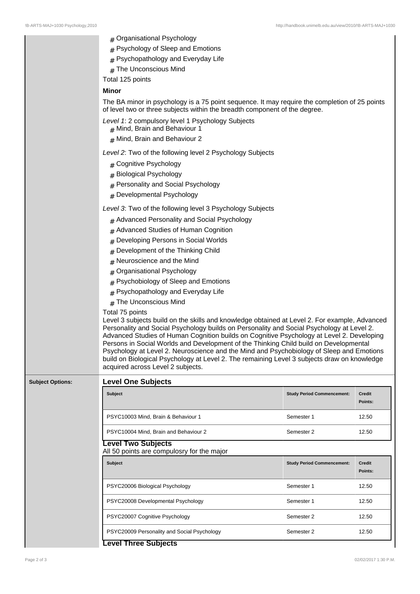!B-ARTS-MAJ+1030 Psychology,2010 http://handbook.unimelb.edu.au/view/2010/!B-ARTS-MAJ+1030 # Organisational Psychology  $#$  Psychology of Sleep and Emotions  $#$  Psychopathology and Everyday Life # The Unconscious Mind Total 125 points **Minor** The BA minor in psychology is a 75 point sequence. It may require the completion of 25 points of level two or three subjects within the breadth component of the degree. Level 1: 2 compulsory level 1 Psychology Subjects # Mind, Brain and Behaviour 1  $#$  Mind, Brain and Behaviour 2 Level 2: Two of the following level 2 Psychology Subjects # Cognitive Psychology # Biological Psychology # Personality and Social Psychology # Developmental Psychology Level 3: Two of the following level 3 Psychology Subjects # Advanced Personality and Social Psychology # Advanced Studies of Human Cognition # Developing Persons in Social Worlds # Development of the Thinking Child # Neuroscience and the Mind # Organisational Psychology  $#$  Psychobiology of Sleep and Emotions  $#$  Psychopathology and Everyday Life # The Unconscious Mind Total 75 points Level 3 subjects build on the skills and knowledge obtained at Level 2. For example, Advanced Personality and Social Psychology builds on Personality and Social Psychology at Level 2. Advanced Studies of Human Cognition builds on Cognitive Psychology at Level 2. Developing Persons in Social Worlds and Development of the Thinking Child build on Developmental Psychology at Level 2. Neuroscience and the Mind and Psychobiology of Sleep and Emotions build on Biological Psychology at Level 2. The remaining Level 3 subjects draw on knowledge acquired across Level 2 subjects. **Subject Options: Level One Subjects Subject Study Period Commencement: Credit** PSYC10003 Mind, Brain & Behaviour 1 Semester 1 12.50 PSYC10004 Mind, Brain and Behaviour 2 Semester 2 12.50 **Level Two Subjects** All 50 points are compulosry for the major **Subject Study Period Commencement: Credit** PSYC20006 Biological Psychology Network 1 21.50 PSYC20008 Developmental Psychology Network Semester 1 12.50

PSYC20007 Cognitive Psychology **Semester 2** 12.50

PSYC20009 Personality and Social Psychology Semester 2 12.50

**Points:**

**Points:**